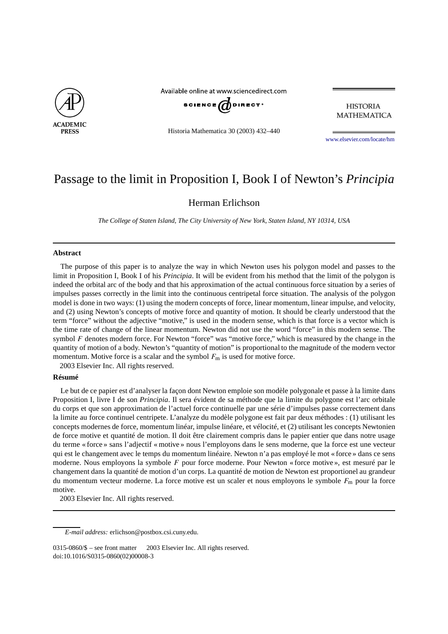

Available online at www.sciencedirect.com



**HISTORIA MATHEMATICA** 

Historia Mathematica 30 (2003) 432–440

[www.elsevier.com/locate/hm](http://www.elsevier.com/locate/hm)

# Passage to the limit in Proposition I, Book I of Newton's *Principia*

## Herman Erlichson

*The College of Staten Island, The City University of New York, Staten Island, NY 10314, USA*

#### **Abstract**

The purpose of this paper is to analyze the way in which Newton uses his polygon model and passes to the limit in Proposition I, Book I of his *Principia*. It will be evident from his method that the limit of the polygon is indeed the orbital arc of the body and that his approximation of the actual continuous force situation by a series of impulses passes correctly in the limit into the continuous centripetal force situation. The analysis of the polygon model is done in two ways: (1) using the modern concepts of force, linear momentum, linear impulse, and velocity, and (2) using Newton's concepts of motive force and quantity of motion. It should be clearly understood that the term "force" without the adjective "motive," is used in the modern sense, which is that force is a vector which is the time rate of change of the linear momentum. Newton did not use the word "force" in this modern sense. The symbol *F* denotes modern force. For Newton "force" was "motive force," which is measured by the change in the quantity of motion of a body. Newton's "quantity of motion" is proportional to the magnitude of the modern vector momentum. Motive force is a scalar and the symbol  $F<sub>m</sub>$  is used for motive force.

2003 Elsevier Inc. All rights reserved.

### **Résumé**

Le but de ce papier est d'analyser la façon dont Newton emploie son modèle polygonale et passe à la limite dans Proposition I, livre I de son *Principia*. Il sera évident de sa méthode que la limite du polygone est l'arc orbitale du corps et que son approximation de l'actuel force continuelle par une série d'impulses passe correctement dans la limite au force continuel centripete. L'analyze du modèle polygone est fait par deux méthodes : (1) utilisant les concepts modernes de force, momentum linéar, impulse linéare, et vélocité, et (2) utilisant les concepts Newtonien de force motive et quantité de motion. Il doit être clairement compris dans le papier entier que dans notre usage du terme « force » sans l'adjectif « motive » nous l'employons dans le sens moderne, que la force est une vecteur qui est le changement avec le temps du momentum linéaire. Newton n'a pas employé le mot « force » dans ce sens moderne. Nous employons la symbole *F* pour force moderne. Pour Newton « force motive », est mesuré par le changement dans la quantité de motion d'un corps. La quantité de motion de Newton est proportionel au grandeur du momentum vecteur moderne. La force motive est un scaler et nous employons le symbole  $F<sub>m</sub>$  pour la force motive.

2003 Elsevier Inc. All rights reserved.

*E-mail address:* erlichson@postbox.csi.cuny.edu.

<sup>0315-0860/\$ –</sup> see front matter  $\degree$  2003 Elsevier Inc. All rights reserved. doi:10.1016/S0315-0860(02)00008-3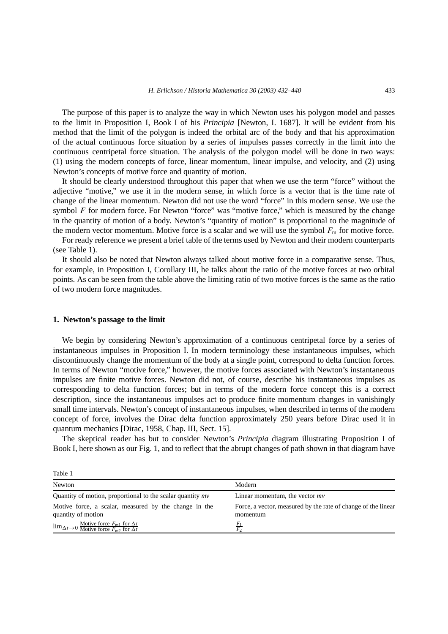The purpose of this paper is to analyze the way in which Newton uses his polygon model and passes to the limit in Proposition I, Book I of his *Principia* [Newton, I. 1687]. It will be evident from his method that the limit of the polygon is indeed the orbital arc of the body and that his approximation of the actual continuous force situation by a series of impulses passes correctly in the limit into the continuous centripetal force situation. The analysis of the polygon model will be done in two ways: (1) using the modern concepts of force, linear momentum, linear impulse, and velocity, and (2) using Newton's concepts of motive force and quantity of motion.

It should be clearly understood throughout this paper that when we use the term "force" without the adjective "motive," we use it in the modern sense, in which force is a vector that is the time rate of change of the linear momentum. Newton did not use the word "force" in this modern sense. We use the symbol *F* for modern force. For Newton "force" was "motive force," which is measured by the change in the quantity of motion of a body. Newton's "quantity of motion" is proportional to the magnitude of the modern vector momentum. Motive force is a scalar and we will use the symbol  $F<sub>m</sub>$  for motive force.

For ready reference we present a brief table of the terms used by Newton and their modern counterparts (see Table 1).

It should also be noted that Newton always talked about motive force in a comparative sense. Thus, for example, in Proposition I, Corollary III, he talks about the ratio of the motive forces at two orbital points. As can be seen from the table above the limiting ratio of two motive forces is the same as the ratio of two modern force magnitudes.

#### **1. Newton's passage to the limit**

We begin by considering Newton's approximation of a continuous centripetal force by a series of instantaneous impulses in Proposition I. In modern terminology these instantaneous impulses, which discontinuously change the momentum of the body at a single point, correspond to delta function forces. In terms of Newton "motive force," however, the motive forces associated with Newton's instantaneous impulses are finite motive forces. Newton did not, of course, describe his instantaneous impulses as corresponding to delta function forces; but in terms of the modern force concept this is a correct description, since the instantaneous impulses act to produce finite momentum changes in vanishingly small time intervals. Newton's concept of instantaneous impulses, when described in terms of the modern concept of force, involves the Dirac delta function approximately 250 years before Dirac used it in quantum mechanics [Dirac, 1958, Chap. III, Sect. 15].

The skeptical reader has but to consider Newton's *Principia* diagram illustrating Proposition I of Book I, here shown as our Fig. 1, and to reflect that the abrupt changes of path shown in that diagram have

| Table 1                                                                                                                                           |                                                                           |
|---------------------------------------------------------------------------------------------------------------------------------------------------|---------------------------------------------------------------------------|
| Newton                                                                                                                                            | Modern                                                                    |
| Quantity of motion, proportional to the scalar quantity $mv$                                                                                      | Linear momentum, the vector $mv$                                          |
| Motive force, a scalar, measured by the change in the<br>quantity of motion                                                                       | Force, a vector, measured by the rate of change of the linear<br>momentum |
| $\lim_{\Delta t \to 0} \frac{\text{Motive force } F_{\text{m1}} \text{ for } \Delta t}{\text{Motive force } F_{\text{m2}} \text{ for } \Delta t}$ | $\mathbf{r}$                                                              |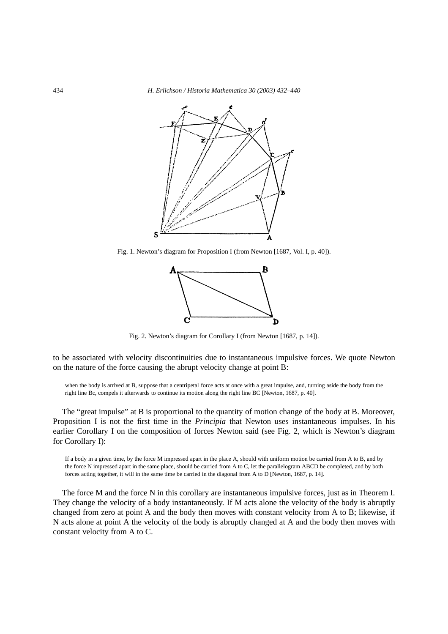

Fig. 1. Newton's diagram for Proposition I (from Newton [1687, Vol. I, p. 40]).



Fig. 2. Newton's diagram for Corollary I (from Newton [1687, p. 14]).

to be associated with velocity discontinuities due to instantaneous impulsive forces. We quote Newton on the nature of the force causing the abrupt velocity change at point B:

when the body is arrived at B, suppose that a centripetal force acts at once with a great impulse, and, turning aside the body from the right line Bc, compels it afterwards to continue its motion along the right line BC [Newton, 1687, p. 40].

The "great impulse" at B is proportional to the quantity of motion change of the body at B. Moreover, Proposition I is not the first time in the *Principia* that Newton uses instantaneous impulses. In his earlier Corollary I on the composition of forces Newton said (see Fig. 2, which is Newton's diagram for Corollary I):

If a body in a given time, by the force M impressed apart in the place A, should with uniform motion be carried from A to B, and by the force N impressed apart in the same place, should be carried from A to C, let the parallelogram ABCD be completed, and by both forces acting together, it will in the same time be carried in the diagonal from A to D [Newton, 1687, p. 14].

The force M and the force N in this corollary are instantaneous impulsive forces, just as in Theorem I. They change the velocity of a body instantaneously. If M acts alone the velocity of the body is abruptly changed from zero at point A and the body then moves with constant velocity from A to B; likewise, if N acts alone at point A the velocity of the body is abruptly changed at A and the body then moves with constant velocity from A to C.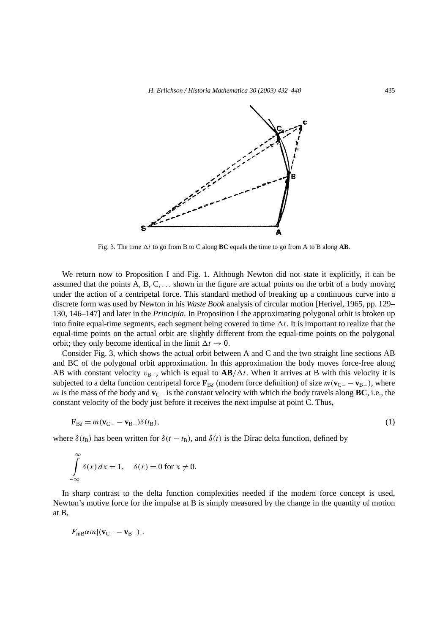

Fig. 3. The time  $\Delta t$  to go from B to C along **BC** equals the time to go from A to B along **AB**.

We return now to Proposition I and Fig. 1. Although Newton did not state it explicitly, it can be assumed that the points A, B, C, *...* shown in the figure are actual points on the orbit of a body moving under the action of a centripetal force. This standard method of breaking up a continuous curve into a discrete form was used by Newton in his *Waste Book* analysis of circular motion [Herivel, 1965, pp. 129– 130, 146–147] and later in the *Principia*. In Proposition I the approximating polygonal orbit is broken up into finite equal-time segments, each segment being covered in time  $\Delta t$ . It is important to realize that the equal-time points on the actual orbit are slightly different from the equal-time points on the polygonal orbit; they only become identical in the limit  $\Delta t \rightarrow 0$ .

Consider Fig. 3, which shows the actual orbit between A and C and the two straight line sections AB and BC of the polygonal orbit approximation. In this approximation the body moves force-free along AB with constant velocity  $v_{B-}$ , which is equal to  $AB/\Delta t$ . When it arrives at B with this velocity it is subjected to a delta function centripetal force  $\mathbf{F}_{B\delta}$  (modern force definition) of size  $m(\mathbf{v}_{C-} - \mathbf{v}_{B-})$ , where *m* is the mass of the body and **v**<sub>C−</sub> is the constant velocity with which the body travels along **BC**, i.e., the constant velocity of the body just before it receives the next impulse at point C. Thus,

$$
\mathbf{F}_{\mathrm{B}\delta} = m(\mathbf{v}_{\mathrm{C}-} - \mathbf{v}_{\mathrm{B}-})\delta(t_{\mathrm{B}}),\tag{1}
$$

where  $\delta(t_B)$  has been written for  $\delta(t - t_B)$ , and  $\delta(t)$  is the Dirac delta function, defined by

$$
\int_{-\infty}^{\infty} \delta(x) dx = 1, \quad \delta(x) = 0 \text{ for } x \neq 0.
$$

In sharp contrast to the delta function complexities needed if the modern force concept is used, Newton's motive force for the impulse at B is simply measured by the change in the quantity of motion at B,

 $F_{\text{mB}}\alpha m|({\bf v}_{C-} - {\bf v}_{B-})|$ .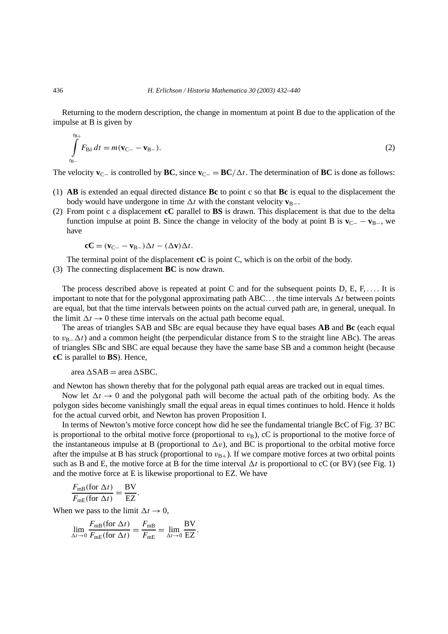Returning to the modern description, the change in momentum at point B due to the application of the impulse at B is given by

$$
\int_{t_{\rm B-}}^{t_{\rm B+}} F_{\rm B\delta} dt = m(\mathbf{v}_{\rm C-} - \mathbf{v}_{\rm B-}). \tag{2}
$$

The velocity  $\mathbf{v}_{C-}$  is controlled by **BC**, since  $\mathbf{v}_{C-} = \mathbf{B}\mathbf{C}/\Delta t$ . The determination of **BC** is done as follows:

- (1) **AB** is extended an equal directed distance **Bc** to point c so that **Bc** is equal to the displacement the body would have undergone in time  $\Delta t$  with the constant velocity  $\mathbf{v}_{B-}$ .
- (2) From point c a displacement **cC** parallel to **BS** is drawn. This displacement is that due to the delta function impulse at point B. Since the change in velocity of the body at point B is  $\mathbf{v}_{C-} - \mathbf{v}_{B-}$ , we have

$$
\mathbf{c}\mathbf{C} = (\mathbf{v}_{\mathbf{C}-} - \mathbf{v}_{\mathbf{B}-})\Delta t - (\Delta \mathbf{v})\Delta t.
$$

The terminal point of the displacement **cC** is point C, which is on the orbit of the body.

(3) The connecting displacement **BC** is now drawn.

The process described above is repeated at point C and for the subsequent points D, E, F, *...*. It is important to note that for the polygonal approximating path ABC... the time intervals  $\Delta t$  between points are equal, but that the time intervals between points on the actual curved path are, in general, unequal. In the limit  $\Delta t \rightarrow 0$  these time intervals on the actual path become equal.

The areas of triangles SAB and SBc are equal because they have equal bases **AB** and **Bc** (each equal to *v*<sub>B−</sub> $\Delta t$ ) and a common height (the perpendicular distance from S to the straight line ABc). The areas of triangles SBc and SBC are equal because they have the same base SB and a common height (because **cC** is parallel to **BS**). Hence,

 $area \triangle SAB = area \triangle SBC$ ,

and Newton has shown thereby that for the polygonal path equal areas are tracked out in equal times.

Now let  $\Delta t \rightarrow 0$  and the polygonal path will become the actual path of the orbiting body. As the polygon sides become vanishingly small the equal areas in equal times continues to hold. Hence it holds for the actual curved orbit, and Newton has proven Proposition I.

In terms of Newton's motive force concept how did he see the fundamental triangle BcC of Fig. 3? BC is proportional to the orbital motive force (proportional to  $v_B$ ), cC is proportional to the motive force of the instantaneous impulse at B (proportional to  $\Delta v$ ), and BC is proportional to the orbital motive force after the impulse at B has struck (proportional to  $v_{B+}$ ). If we compare motive forces at two orbital points such as B and E, the motive force at B for the time interval  $\Delta t$  is proportional to cC (or BV) (see Fig. 1) and the motive force at E is likewise proportional to EZ. We have

$$
\frac{F_{\text{mB}}(\text{for }\Delta t)}{F_{\text{mE}}(\text{for }\Delta t)} = \frac{\text{BV}}{\text{EZ}}.
$$

When we pass to the limit  $\Delta t \to 0$ ,

$$
\lim_{\Delta t \to 0} \frac{F_{\text{mB}}(\text{for } \Delta t)}{F_{\text{mE}}(\text{for } \Delta t)} = \frac{F_{\text{mB}}}{F_{\text{mE}}} = \lim_{\Delta t \to 0} \frac{BV}{EZ}.
$$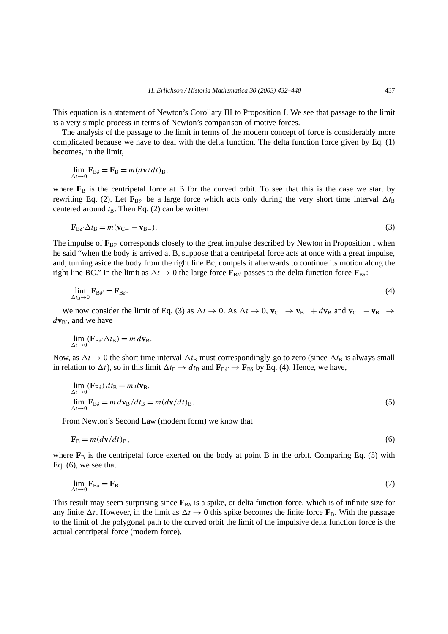This equation is a statement of Newton's Corollary III to Proposition I. We see that passage to the limit is a very simple process in terms of Newton's comparison of motive forces.

The analysis of the passage to the limit in terms of the modern concept of force is considerably more complicated because we have to deal with the delta function. The delta function force given by Eq. (1) becomes, in the limit,

$$
\lim_{\Delta t \to 0} \mathbf{F}_{\text{B}\delta} = \mathbf{F}_{\text{B}} = m(d\mathbf{v}/dt)_{\text{B}},
$$

where  $\mathbf{F}_{\text{B}}$  is the centripetal force at B for the curved orbit. To see that this is the case we start by rewriting Eq. (2). Let  $\mathbf{F}_{B\delta}$  be a large force which acts only during the very short time interval  $\Delta t_B$ centered around  $t_B$ . Then Eq. (2) can be written

$$
\mathbf{F}_{\mathrm{B}\delta'}\Delta t_{\mathrm{B}} = m(\mathbf{v}_{\mathrm{C}-} - \mathbf{v}_{\mathrm{B}-}). \tag{3}
$$

The impulse of  $\mathbf{F}_{\text{B}\delta}$  corresponds closely to the great impulse described by Newton in Proposition I when he said "when the body is arrived at B, suppose that a centripetal force acts at once with a great impulse, and, turning aside the body from the right line Bc, compels it afterwards to continue its motion along the right line BC." In the limit as  $\Delta t \to 0$  the large force  $\mathbf{F}_{B\delta}$  passes to the delta function force  $\mathbf{F}_{B\delta}$ :

$$
\lim_{\Delta t_{\rm B} \to 0} \mathbf{F}_{\rm B\delta'} = \mathbf{F}_{\rm B\delta}.\tag{4}
$$

We now consider the limit of Eq. (3) as  $\Delta t \to 0$ . As  $\Delta t \to 0$ ,  $\mathbf{v}_{C-} \to \mathbf{v}_{B-} + d\mathbf{v}_{B}$  and  $\mathbf{v}_{C-} - \mathbf{v}_{B-} \to$  $d$ **v**<sub>B'</sub>, and we have

$$
\lim_{\Delta t \to 0} (\mathbf{F}_{\mathbf{B}\delta'} \Delta t_{\mathbf{B}}) = m \, d\mathbf{v}_{\mathbf{B}}.
$$

Now, as  $\Delta t \to 0$  the short time interval  $\Delta t_B$  must correspondingly go to zero (since  $\Delta t_B$  is always small in relation to  $\Delta t$ ), so in this limit  $\Delta t_B \to dt_B$  and  $\mathbf{F}_{B\delta'} \to \mathbf{F}_{B\delta}$  by Eq. (4). Hence, we have,

$$
\lim_{\Delta t \to 0} (\mathbf{F}_{\text{B}\delta}) dt_{\text{B}} = m d \mathbf{v}_{\text{B}},
$$
\n
$$
\lim_{\Delta t \to 0} \mathbf{F}_{\text{B}\delta} = m d \mathbf{v}_{\text{B}} / dt_{\text{B}} = m (d \mathbf{v} / dt)_{\text{B}}.
$$
\n(5)

From Newton's Second Law (modern form) we know that

$$
\mathbf{F}_{\mathrm{B}} = m(d\mathbf{v}/dt)_{\mathrm{B}},\tag{6}
$$

where  $\mathbf{F}_{\text{B}}$  is the centripetal force exerted on the body at point B in the orbit. Comparing Eq. (5) with Eq. (6), we see that

$$
\lim_{\Delta t \to 0} \mathbf{F}_{\text{B}\delta} = \mathbf{F}_{\text{B}}.\tag{7}
$$

This result may seem surprising since  $\mathbf{F}_{B\delta}$  is a spike, or delta function force, which is of infinite size for any finite  $\Delta t$ . However, in the limit as  $\Delta t \to 0$  this spike becomes the finite force  $\mathbf{F}_{\text{B}}$ . With the passage to the limit of the polygonal path to the curved orbit the limit of the impulsive delta function force is the actual centripetal force (modern force).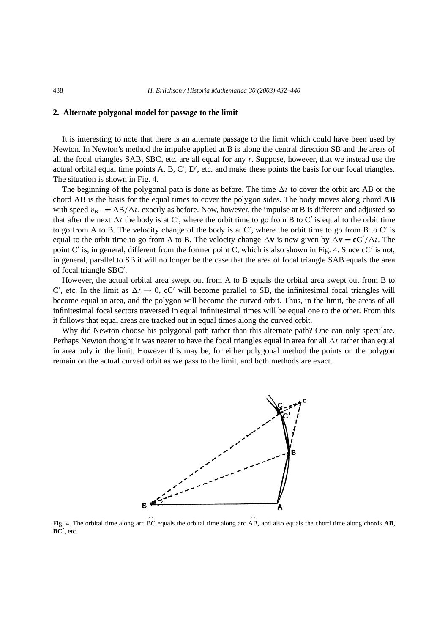### **2. Alternate polygonal model for passage to the limit**

It is interesting to note that there is an alternate passage to the limit which could have been used by Newton. In Newton's method the impulse applied at B is along the central direction SB and the areas of all the focal triangles SAB, SBC, etc. are all equal for any *t*. Suppose, however, that we instead use the actual orbital equal time points A, B, C', D', etc. and make these points the basis for our focal triangles. The situation is shown in Fig. 4.

The beginning of the polygonal path is done as before. The time  $\Delta t$  to cover the orbit arc AB or the chord AB is the basis for the equal times to cover the polygon sides. The body moves along chord **AB** with speed *v*<sub>B−</sub> = AB/ $\Delta t$ , exactly as before. Now, however, the impulse at B is different and adjusted so that after the next  $\Delta t$  the body is at C', where the orbit time to go from B to C' is equal to the orbit time to go from A to B. The velocity change of the body is at  $C'$ , where the orbit time to go from B to  $C'$  is equal to the orbit time to go from A to B. The velocity change  $\Delta v$  is now given by  $\Delta v = cC'/\Delta t$ . The point C' is, in general, different from the former point C, which is also shown in Fig. 4. Since cC' is not, in general, parallel to SB it will no longer be the case that the area of focal triangle SAB equals the area of focal triangle SBC .

However, the actual orbital area swept out from A to B equals the orbital area swept out from B to C', etc. In the limit as  $\Delta t \to 0$ , cC' will become parallel to SB, the infinitesimal focal triangles will become equal in area, and the polygon will become the curved orbit. Thus, in the limit, the areas of all infinitesimal focal sectors traversed in equal infinitesimal times will be equal one to the other. From this it follows that equal areas are tracked out in equal times along the curved orbit.

Why did Newton choose his polygonal path rather than this alternate path? One can only speculate. Perhaps Newton thought it was neater to have the focal triangles equal in area for all  $\Delta t$  rather than equal in area only in the limit. However this may be, for either polygonal method the points on the polygon remain on the actual curved orbit as we pass to the limit, and both methods are exact.



Fig. 4. The orbital time along arc  $\widehat{BC}$  equals the orbital time along arc  $\widehat{AB}$ , and also equals the chord time along chords **AB**, **BC** , etc.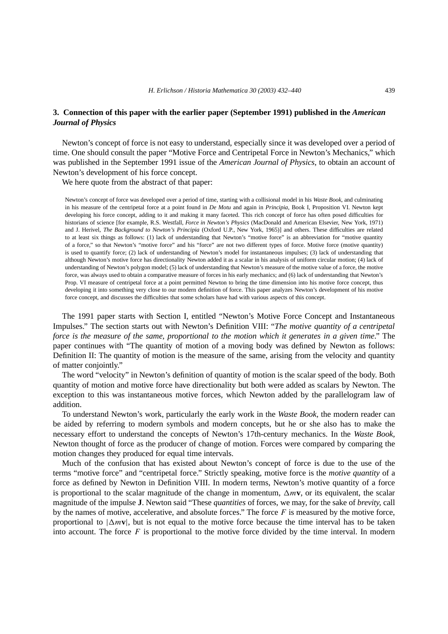## **3. Connection of this paper with the earlier paper (September 1991) published in the** *American Journal of Physics*

Newton's concept of force is not easy to understand, especially since it was developed over a period of time. One should consult the paper "Motive Force and Centripetal Force in Newton's Mechanics," which was published in the September 1991 issue of the *American Journal of Physics*, to obtain an account of Newton's development of his force concept.

We here quote from the abstract of that paper:

Newton's concept of force was developed over a period of time, starting with a collisional model in his *Waste Book*, and culminating in his measure of the centripetal force at a point found in *De Motu* and again in *Principia*, Book I, Proposition VI. Newton kept developing his force concept, adding to it and making it many faceted. This rich concept of force has often posed difficulties for historians of science [for example, R.S. Westfall, *Force in Newton's Physics* (MacDonald and American Elsevier, New York, 1971) and J. Herivel, *The Background to Newton's Principia* (Oxford U.P., New York, 1965)] and others. These difficulties are related to at least six things as follows: (1) lack of understanding that Newton's "motive force" is an abbreviation for "motive quantity of a force," so that Newton's "motive force" and his "force" are not two different types of force. Motive force (motive quantity) is used to quantify force; (2) lack of understanding of Newton's model for instantaneous impulses; (3) lack of understanding that although Newton's motive force has directionality Newton added it as a scalar in his analysis of uniform circular motion; (4) lack of understanding of Newton's polygon model; (5) lack of understanding that Newton's measure of the motive value of a force, the motive force, was always used to obtain a comparative measure of forces in his early mechanics; and (6) lack of understanding that Newton's Prop. VI measure of centripetal force at a point permitted Newton to bring the time dimension into his motive force concept, thus developing it into something very close to our modern definition of force. This paper analyzes Newton's development of his motive force concept, and discusses the difficulties that some scholars have had with various aspects of this concept.

The 1991 paper starts with Section I, entitled "Newton's Motive Force Concept and Instantaneous Impulses." The section starts out with Newton's Definition VIII: "*The motive quantity of a centripetal force is the measure of the same, proportional to the motion which it generates in a given time*." The paper continues with "The quantity of motion of a moving body was defined by Newton as follows: Definition II: The quantity of motion is the measure of the same, arising from the velocity and quantity of matter conjointly."

The word "velocity" in Newton's definition of quantity of motion is the scalar speed of the body. Both quantity of motion and motive force have directionality but both were added as scalars by Newton. The exception to this was instantaneous motive forces, which Newton added by the parallelogram law of addition.

To understand Newton's work, particularly the early work in the *Waste Book,* the modern reader can be aided by referring to modern symbols and modern concepts, but he or she also has to make the necessary effort to understand the concepts of Newton's 17th-century mechanics. In the *Waste Book,* Newton thought of force as the producer of change of motion. Forces were compared by comparing the motion changes they produced for equal time intervals.

Much of the confusion that has existed about Newton's concept of force is due to the use of the terms "motive force" and "centripetal force." Strictly speaking, motive force is the *motive quantity* of a force as defined by Newton in Definition VIII. In modern terms, Newton's motive quantity of a force is proportional to the scalar magnitude of the change in momentum,  $\Delta m v$ , or its equivalent, the scalar magnitude of the impulse **J**. Newton said "These *quantities* of forces, we may, for the sake of *brevity,* call by the names of motive, accelerative, and absolute forces." The force *F* is measured by the motive force, proportional to  $|\Delta m v|$ , but is not equal to the motive force because the time interval has to be taken into account. The force  $F$  is proportional to the motive force divided by the time interval. In modern